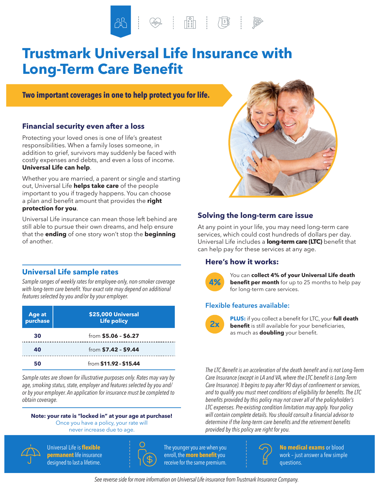$\begin{tabular}{|c|c|c|c|c|} \hline \rule{0pt}{.5cm} & $\circled{0.5cm}$ & $\circled{0.5cm}$ \\ \hline \rule{0pt}{.5cm} & $\circled{0.5cm}$ & $\circled{0.5cm}$ \\ \hline \rule{0pt}{.5cm} & $\circled{0.5cm}$ & $\circled{0.5cm}$ \\ \hline \rule{0pt}{.5cm} & $\circled{0.5cm}$ & $\circled{0.5cm}$ \\ \hline \rule{0pt}{.5cm} & $\circled{0.5cm}$ & $\circled{0.5cm}$ \\ \hline \rule{0pt}{.5cm} & $\circled{0.5cm}$ & $\circled{0.5cm$ 

# **Trustmark Universal Life Insurance with Long-Term Care Benefit**

**Two important coverages in one to help protect you for life.**

### **Financial security even after a loss**

Protecting your loved ones is one of life's greatest responsibilities. When a family loses someone, in addition to grief, survivors may suddenly be faced with costly expenses and debts, and even a loss of income. **Universal Life can help**.

Whether you are married, a parent or single and starting out, Universal Life **helps take care** of the people important to you if tragedy happens. You can choose a plan and benefit amount that provides the **right protection for you**.

Universal Life insurance can mean those left behind are still able to pursue their own dreams, and help ensure that the **ending** of one story won't stop the **beginning** of another.

### **Universal Life sample rates**

*Sample ranges of weekly rates for employee-only, non-smoker coverage with long-term care benefit. Your exact rate may depend on additional features selected by you and/or by your employer.*

| Age at<br>purchase | \$25,000 Universal<br><b>Life policy</b> |
|--------------------|------------------------------------------|
| 30                 | from \$5.06 - \$6.27                     |
| 40                 | from $$7.42 - $9.44$                     |
| 50                 | from \$11.92 - \$15.44                   |

*Sample rates are shown for illustrative purposes only. Rates may vary by age, smoking status, state, employer and features selected by you and/ or by your employer. An application for insurance must be completed to obtain coverage.*

#### **Note: your rate is "locked in" at your age at purchase!**

Once you have a policy, your rate will never increase due to age.



 Universal Life is **flexible permanent** life insurance designed to last a lifetime.



 The younger you are when you enroll, the **more benefit**you receive for the same premium.



### **Solving the long-term care issue**

At any point in your life, you may need long-term care services, which could cost hundreds of dollars per day. Universal Life includes a **long-term care (LTC)** benefit that can help pay for these services at any age.

### **Here's how it works:**



**4%** You can **collect 4% of your Universal Life death**<br>**4% benefit per month** for up to 25 months to help pay for long-term care services.

### **Flexible features available:**



**PLUS:** if you collect a benefit for LTC, your **full death benefit** is still available for your beneficiaries, as much as **doubling** your benefit.

*The LTC Benefit is an acceleration of the death benefit and is not Long-Term Care Insurance (except in LA and VA, where the LTC benefit is Long-Term Care Insurance). It begins to pay after 90 days of confinement or services, and to qualify you must meet conditions of eligibility for benefits. The LTC benefits provided by this policy may not cover all of the policyholder's LTC expenses. Pre-existing condition limitation may apply. Your policy will contain complete details. You should consult a financial advisor to determine if the long-term care benefits and the retirement benefits provided by this policy are right for you.*



**No medical exams** or blood work – just answer a few simple questions.

*See reverse side for more information on Universal Life insurance from Trustmark Insurance Company.*